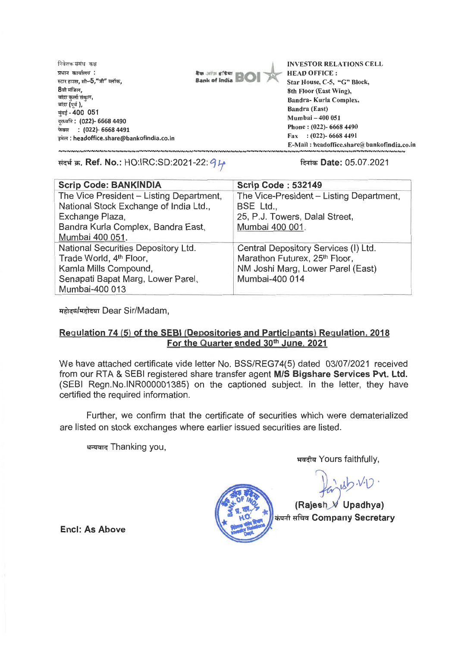**निवेशक संबंध** कक्ष **प्रधान कार्यालय**: **<sup>7</sup>.7r{ 5130, F1.-5," " 8**वी मंजिल, **बांद्रा कुर्ला संकल, मुंबई - 400 051** बांद्रा **(**पूर्व **)**, **soa.ft : (022)- 6668 4490 is : (022)- 6668 4491 Tirm.: headoffice.share@bankofindia.co.in** 



**INVESTOR RELATIONS CELL HEAD OFFICE : Star House, C-5, "G" Block, 8th Floor (East Wing), Sandra- Kurla Complex, Bandra (East) Mumbai — 400 051 Phone : (022)- 6668 4490 Fax : (022)- 6668 4491 E-Mail : headoffice.share@2bankofindia.co.in** 

संदर्भ क्र. Ref. No.: HO:IRC:SD:2021-22: *9 L* **Community 3: 14** and **a** farith **ate:** 05.07.2021

| <b>Scrip Code: BANKINDIA</b>             | <b>Scrip Code: 532149</b>                 |
|------------------------------------------|-------------------------------------------|
| The Vice President - Listing Department, | The Vice-President - Listing Department,  |
| National Stock Exchange of India Ltd.,   | BSE Ltd.,                                 |
| Exchange Plaza,                          | 25, P.J. Towers, Dalal Street,            |
| Bandra Kurla Complex, Bandra East,       | Mumbai 400 001.                           |
| Mumbai 400 051.                          |                                           |
| National Securities Depository Ltd.      | Central Depository Services (I) Ltd.      |
| Trade World, 4 <sup>th</sup> Floor,      | Marathon Futurex, 25 <sup>th</sup> Floor, |
| Kamla Mills Compound,                    | NM Joshi Marg, Lower Parel (East)         |
| Senapati Bapat Marg, Lower Parel,        | Mumbai-400 014                            |
| Mumbai-400 013                           |                                           |

**irt1--4-4/Trgi-4zrr Dear Sir/Madam,** 

## **Regulation 74 (5) of the SEBI (Depositories and Participants) Regulation, 2018**  For the Quarter ended 30<sup>th</sup> June, 2021

**We have attached certificate vide letter No. BSS/REG74(5) dated 03/07/2021 received from our RTA & SEBI registered share transfer agent M/S Bigshare Services Pvt. Ltd. (SEBI Regn.No.INR000001385) on the captioned subject. In the letter, they have certified the required information.** 

**Further, we confirm that the certificate of securities which were dematerialized are listed on stock exchanges where earlier issued securities are listed.** 

**arks Thanking you,** 

**IT-4-41--4 Yours faithfully,** 

 $ub-vv$ 

**(Rajesh • Upadhya) th4-1 \*.1 'clel Company Secretary** 

**Encl: As Above**